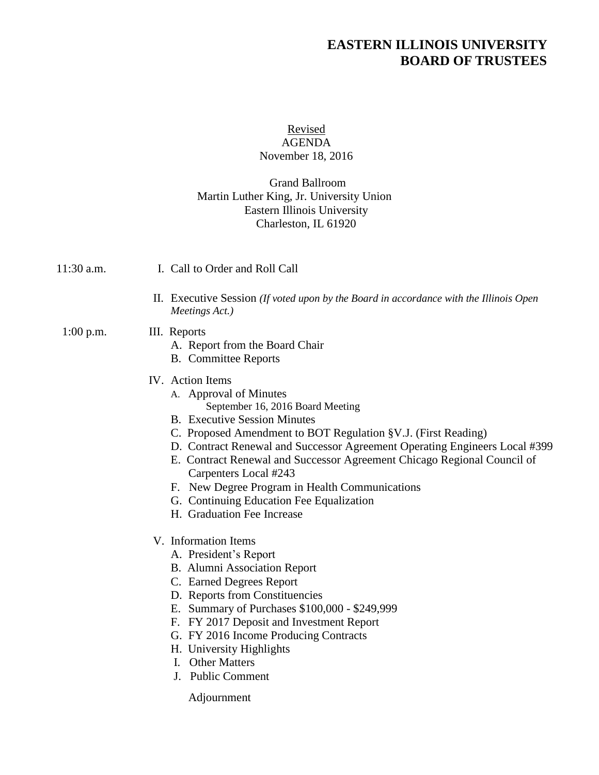# **EASTERN ILLINOIS UNIVERSITY BOARD OF TRUSTEES**

#### Revised AGENDA November 18, 2016

# Grand Ballroom Martin Luther King, Jr. University Union Eastern Illinois University Charleston, IL 61920

11:30 a.m. I. Call to Order and Roll Call

II. Executive Session *(If voted upon by the Board in accordance with the Illinois Open Meetings Act.)*

# 1:00 p.m. III. Reports

- A. Report from the Board Chair
- B. Committee Reports

# IV. Action Items

- A. Approval of Minutes September 16, 2016 Board Meeting
- B. Executive Session Minutes
- C. Proposed Amendment to BOT Regulation §V.J. (First Reading)
- D. Contract Renewal and Successor Agreement Operating Engineers Local #399
- E. Contract Renewal and Successor Agreement Chicago Regional Council of Carpenters Local #243
- F. New Degree Program in Health Communications
- G. Continuing Education Fee Equalization
- H. Graduation Fee Increase
- V. Information Items
	- A. President's Report
	- B. Alumni Association Report
	- C. Earned Degrees Report
	- D. Reports from Constituencies
	- E. Summary of Purchases \$100,000 \$249,999
	- F. FY 2017 Deposit and Investment Report
	- G. FY 2016 Income Producing Contracts
	- H. University Highlights
	- I. Other Matters
	- J. Public Comment

Adjournment